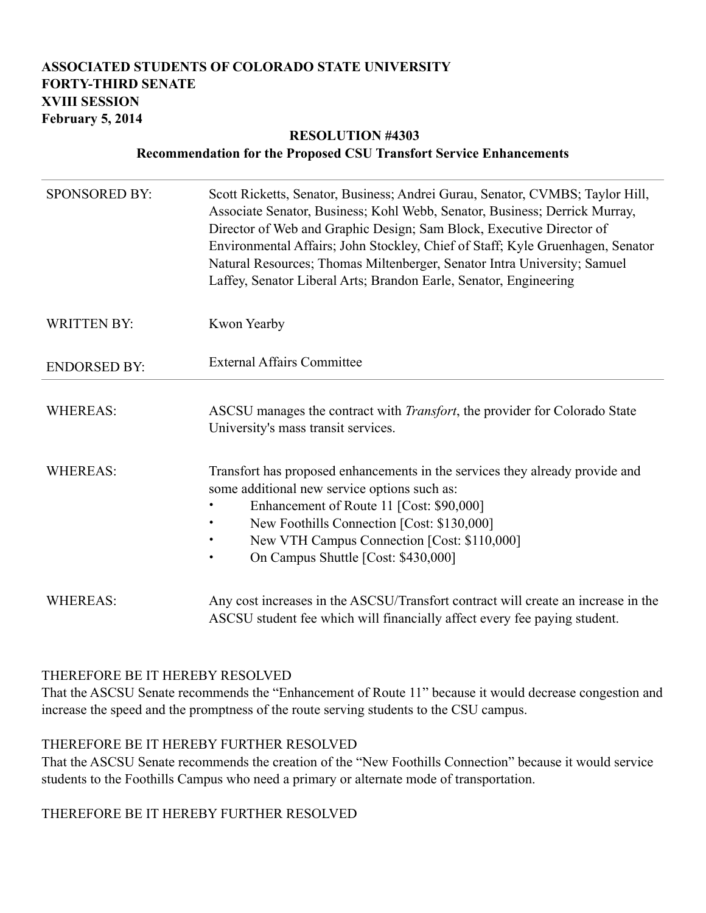### **ASSOCIATED STUDENTS OF COLORADO STATE UNIVERSITY FORTY-THIRD SENATE XVIII SESSION February 5, 2014**

#### **RESOLUTION #4303 Recommendation for the Proposed CSU Transfort Service Enhancements**

| <b>SPONSORED BY:</b> | Scott Ricketts, Senator, Business; Andrei Gurau, Senator, CVMBS; Taylor Hill,<br>Associate Senator, Business; Kohl Webb, Senator, Business; Derrick Murray,<br>Director of Web and Graphic Design; Sam Block, Executive Director of<br>Environmental Affairs; John Stockley, Chief of Staff; Kyle Gruenhagen, Senator<br>Natural Resources; Thomas Miltenberger, Senator Intra University; Samuel<br>Laffey, Senator Liberal Arts; Brandon Earle, Senator, Engineering |
|----------------------|------------------------------------------------------------------------------------------------------------------------------------------------------------------------------------------------------------------------------------------------------------------------------------------------------------------------------------------------------------------------------------------------------------------------------------------------------------------------|
| <b>WRITTEN BY:</b>   | Kwon Yearby                                                                                                                                                                                                                                                                                                                                                                                                                                                            |
| <b>ENDORSED BY:</b>  | <b>External Affairs Committee</b>                                                                                                                                                                                                                                                                                                                                                                                                                                      |
| <b>WHEREAS:</b>      | ASCSU manages the contract with <i>Transfort</i> , the provider for Colorado State<br>University's mass transit services.                                                                                                                                                                                                                                                                                                                                              |
| <b>WHEREAS:</b>      | Transfort has proposed enhancements in the services they already provide and<br>some additional new service options such as:<br>Enhancement of Route 11 [Cost: \$90,000]<br>New Foothills Connection [Cost: \$130,000]<br>$\bullet$<br>New VTH Campus Connection [Cost: \$110,000]<br>On Campus Shuttle [Cost: \$430,000]                                                                                                                                              |
| <b>WHEREAS:</b>      | Any cost increases in the ASCSU/Transfort contract will create an increase in the<br>ASCSU student fee which will financially affect every fee paying student.                                                                                                                                                                                                                                                                                                         |

### THEREFORE BE IT HEREBY RESOLVED

That the ASCSU Senate recommends the "Enhancement of Route 11" because it would decrease congestion and increase the speed and the promptness of the route serving students to the CSU campus.

#### THEREFORE BE IT HEREBY FURTHER RESOLVED

That the ASCSU Senate recommends the creation of the "New Foothills Connection" because it would service students to the Foothills Campus who need a primary or alternate mode of transportation.

# THEREFORE BE IT HEREBY FURTHER RESOLVED